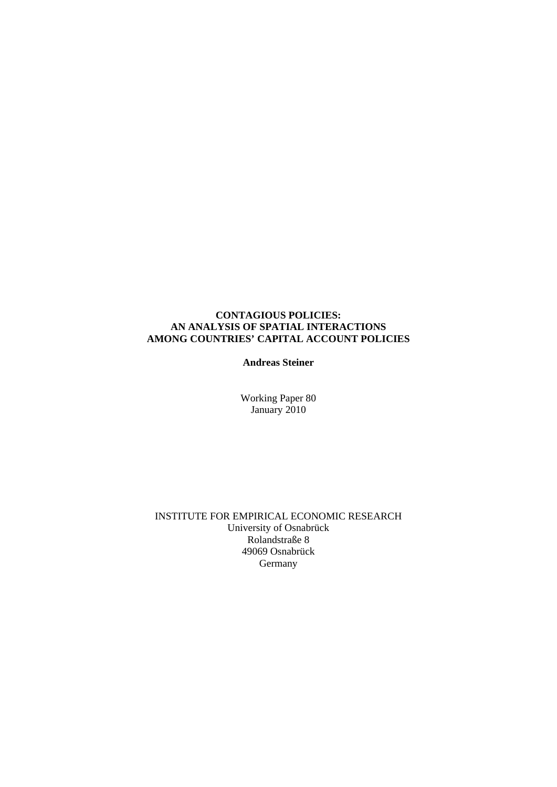### **CONTAGIOUS POLICIES: AN ANALYSIS OF SPATIAL INTERACTIONS AMONG COUNTRIES' CAPITAL ACCOUNT POLICIES**

#### **Andreas Steiner**

Working Paper 80 January 2010

INSTITUTE FOR EMPIRICAL ECONOMIC RESEARCH University of Osnabrück Rolandstraße 8 49069 Osnabrück Germany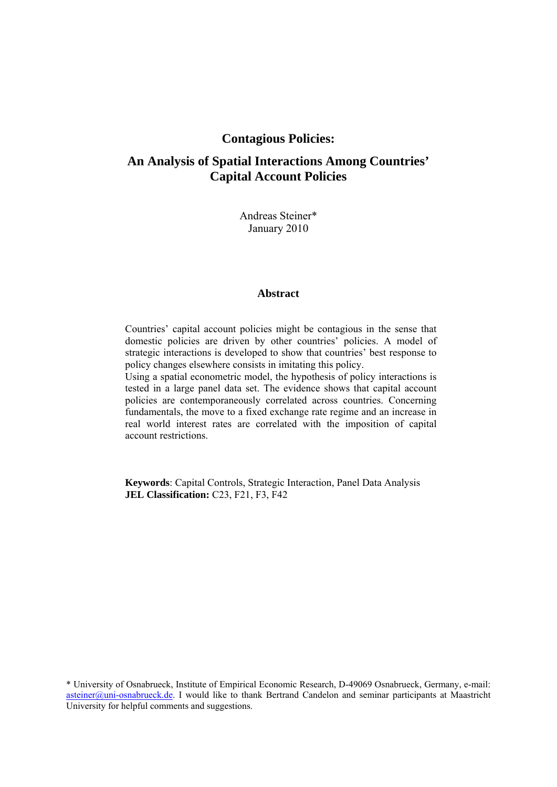## **Contagious Policies:**

# **An Analysis of Spatial Interactions Among Countries' Capital Account Policies**

Andreas Steiner\* January 2010

#### **Abstract**

Countries' capital account policies might be contagious in the sense that domestic policies are driven by other countries' policies. A model of strategic interactions is developed to show that countries' best response to policy changes elsewhere consists in imitating this policy.

Using a spatial econometric model, the hypothesis of policy interactions is tested in a large panel data set. The evidence shows that capital account policies are contemporaneously correlated across countries. Concerning fundamentals, the move to a fixed exchange rate regime and an increase in real world interest rates are correlated with the imposition of capital account restrictions.

**Keywords**: Capital Controls, Strategic Interaction, Panel Data Analysis **JEL Classification:** C23, F21, F3, F42

\* University of Osnabrueck, Institute of Empirical Economic Research, D-49069 Osnabrueck, Germany, e-mail: asteiner@uni-osnabrueck.de. I would like to thank Bertrand Candelon and seminar participants at Maastricht University for helpful comments and suggestions.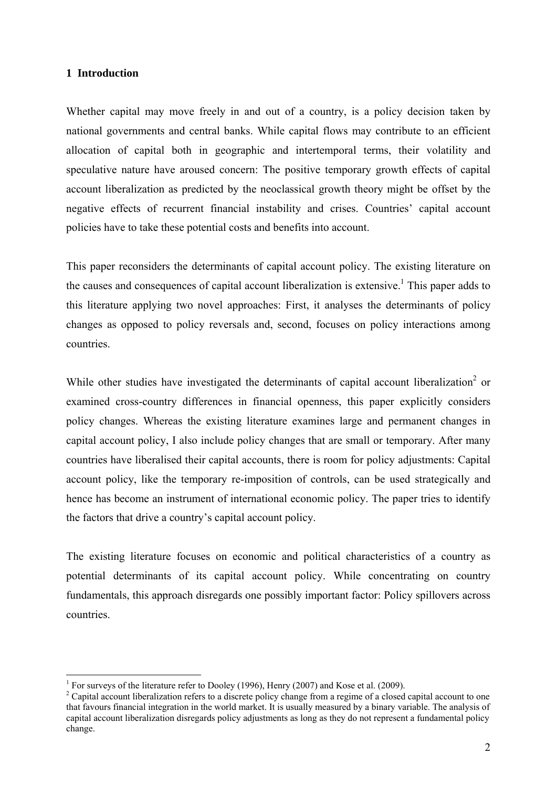#### **1 Introduction**

1

Whether capital may move freely in and out of a country, is a policy decision taken by national governments and central banks. While capital flows may contribute to an efficient allocation of capital both in geographic and intertemporal terms, their volatility and speculative nature have aroused concern: The positive temporary growth effects of capital account liberalization as predicted by the neoclassical growth theory might be offset by the negative effects of recurrent financial instability and crises. Countries' capital account policies have to take these potential costs and benefits into account.

This paper reconsiders the determinants of capital account policy. The existing literature on the causes and consequences of capital account liberalization is extensive.<sup>1</sup> This paper adds to this literature applying two novel approaches: First, it analyses the determinants of policy changes as opposed to policy reversals and, second, focuses on policy interactions among countries.

While other studies have investigated the determinants of capital account liberalization<sup>2</sup> or examined cross-country differences in financial openness, this paper explicitly considers policy changes. Whereas the existing literature examines large and permanent changes in capital account policy, I also include policy changes that are small or temporary. After many countries have liberalised their capital accounts, there is room for policy adjustments: Capital account policy, like the temporary re-imposition of controls, can be used strategically and hence has become an instrument of international economic policy. The paper tries to identify the factors that drive a country's capital account policy.

The existing literature focuses on economic and political characteristics of a country as potential determinants of its capital account policy. While concentrating on country fundamentals, this approach disregards one possibly important factor: Policy spillovers across countries.

<sup>&</sup>lt;sup>1</sup> For surveys of the literature refer to Dooley (1996), Henry (2007) and Kose et al. (2009).

<sup>&</sup>lt;sup>2</sup> Capital account liberalization refers to a discrete policy change from a regime of a closed capital account to one that favours financial integration in the world market. It is usually measured by a binary variable. The analysis of capital account liberalization disregards policy adjustments as long as they do not represent a fundamental policy change.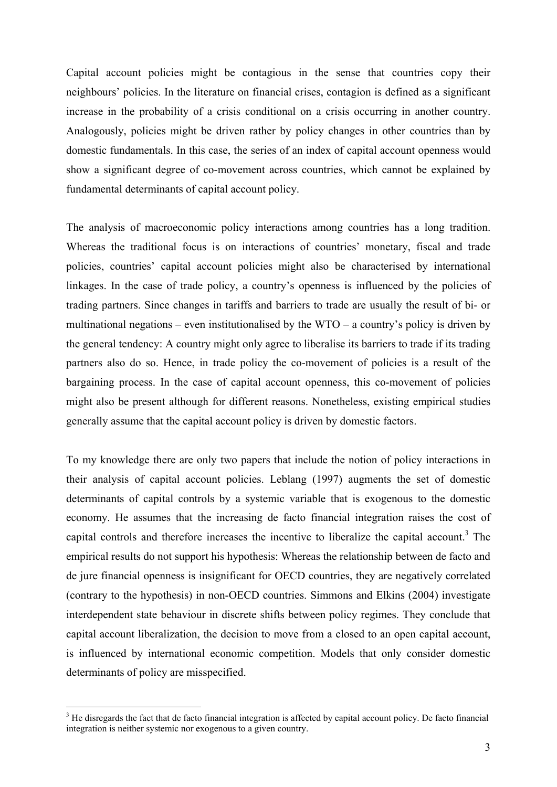Capital account policies might be contagious in the sense that countries copy their neighbours' policies. In the literature on financial crises, contagion is defined as a significant increase in the probability of a crisis conditional on a crisis occurring in another country. Analogously, policies might be driven rather by policy changes in other countries than by domestic fundamentals. In this case, the series of an index of capital account openness would show a significant degree of co-movement across countries, which cannot be explained by fundamental determinants of capital account policy.

The analysis of macroeconomic policy interactions among countries has a long tradition. Whereas the traditional focus is on interactions of countries' monetary, fiscal and trade policies, countries' capital account policies might also be characterised by international linkages. In the case of trade policy, a country's openness is influenced by the policies of trading partners. Since changes in tariffs and barriers to trade are usually the result of bi- or multinational negations – even institutionalised by the  $WTO - a$  country's policy is driven by the general tendency: A country might only agree to liberalise its barriers to trade if its trading partners also do so. Hence, in trade policy the co-movement of policies is a result of the bargaining process. In the case of capital account openness, this co-movement of policies might also be present although for different reasons. Nonetheless, existing empirical studies generally assume that the capital account policy is driven by domestic factors.

To my knowledge there are only two papers that include the notion of policy interactions in their analysis of capital account policies. Leblang (1997) augments the set of domestic determinants of capital controls by a systemic variable that is exogenous to the domestic economy. He assumes that the increasing de facto financial integration raises the cost of capital controls and therefore increases the incentive to liberalize the capital account.<sup>3</sup> The empirical results do not support his hypothesis: Whereas the relationship between de facto and de jure financial openness is insignificant for OECD countries, they are negatively correlated (contrary to the hypothesis) in non-OECD countries. Simmons and Elkins (2004) investigate interdependent state behaviour in discrete shifts between policy regimes. They conclude that capital account liberalization, the decision to move from a closed to an open capital account, is influenced by international economic competition. Models that only consider domestic determinants of policy are misspecified.

1

<sup>&</sup>lt;sup>3</sup> He disregards the fact that de facto financial integration is affected by capital account policy. De facto financial integration is neither systemic nor exogenous to a given country.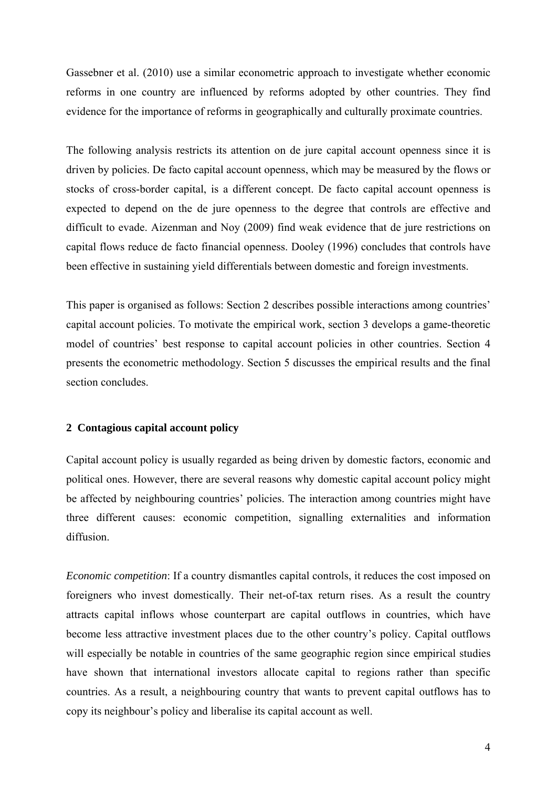Gassebner et al. (2010) use a similar econometric approach to investigate whether economic reforms in one country are influenced by reforms adopted by other countries. They find evidence for the importance of reforms in geographically and culturally proximate countries.

The following analysis restricts its attention on de jure capital account openness since it is driven by policies. De facto capital account openness, which may be measured by the flows or stocks of cross-border capital, is a different concept. De facto capital account openness is expected to depend on the de jure openness to the degree that controls are effective and difficult to evade. Aizenman and Noy (2009) find weak evidence that de jure restrictions on capital flows reduce de facto financial openness. Dooley (1996) concludes that controls have been effective in sustaining yield differentials between domestic and foreign investments.

This paper is organised as follows: Section 2 describes possible interactions among countries' capital account policies. To motivate the empirical work, section 3 develops a game-theoretic model of countries' best response to capital account policies in other countries. Section 4 presents the econometric methodology. Section 5 discusses the empirical results and the final section concludes.

## **2 Contagious capital account policy**

Capital account policy is usually regarded as being driven by domestic factors, economic and political ones. However, there are several reasons why domestic capital account policy might be affected by neighbouring countries' policies. The interaction among countries might have three different causes: economic competition, signalling externalities and information diffusion.

*Economic competition*: If a country dismantles capital controls, it reduces the cost imposed on foreigners who invest domestically. Their net-of-tax return rises. As a result the country attracts capital inflows whose counterpart are capital outflows in countries, which have become less attractive investment places due to the other country's policy. Capital outflows will especially be notable in countries of the same geographic region since empirical studies have shown that international investors allocate capital to regions rather than specific countries. As a result, a neighbouring country that wants to prevent capital outflows has to copy its neighbour's policy and liberalise its capital account as well.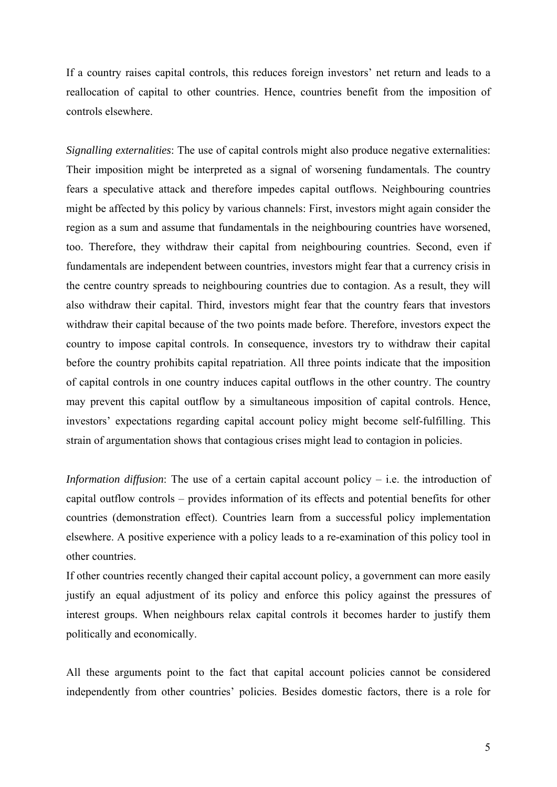If a country raises capital controls, this reduces foreign investors' net return and leads to a reallocation of capital to other countries. Hence, countries benefit from the imposition of controls elsewhere.

*Signalling externalities*: The use of capital controls might also produce negative externalities: Their imposition might be interpreted as a signal of worsening fundamentals. The country fears a speculative attack and therefore impedes capital outflows. Neighbouring countries might be affected by this policy by various channels: First, investors might again consider the region as a sum and assume that fundamentals in the neighbouring countries have worsened, too. Therefore, they withdraw their capital from neighbouring countries. Second, even if fundamentals are independent between countries, investors might fear that a currency crisis in the centre country spreads to neighbouring countries due to contagion. As a result, they will also withdraw their capital. Third, investors might fear that the country fears that investors withdraw their capital because of the two points made before. Therefore, investors expect the country to impose capital controls. In consequence, investors try to withdraw their capital before the country prohibits capital repatriation. All three points indicate that the imposition of capital controls in one country induces capital outflows in the other country. The country may prevent this capital outflow by a simultaneous imposition of capital controls. Hence, investors' expectations regarding capital account policy might become self-fulfilling. This strain of argumentation shows that contagious crises might lead to contagion in policies.

*Information diffusion*: The use of a certain capital account policy – i.e. the introduction of capital outflow controls – provides information of its effects and potential benefits for other countries (demonstration effect). Countries learn from a successful policy implementation elsewhere. A positive experience with a policy leads to a re-examination of this policy tool in other countries.

If other countries recently changed their capital account policy, a government can more easily justify an equal adjustment of its policy and enforce this policy against the pressures of interest groups. When neighbours relax capital controls it becomes harder to justify them politically and economically.

All these arguments point to the fact that capital account policies cannot be considered independently from other countries' policies. Besides domestic factors, there is a role for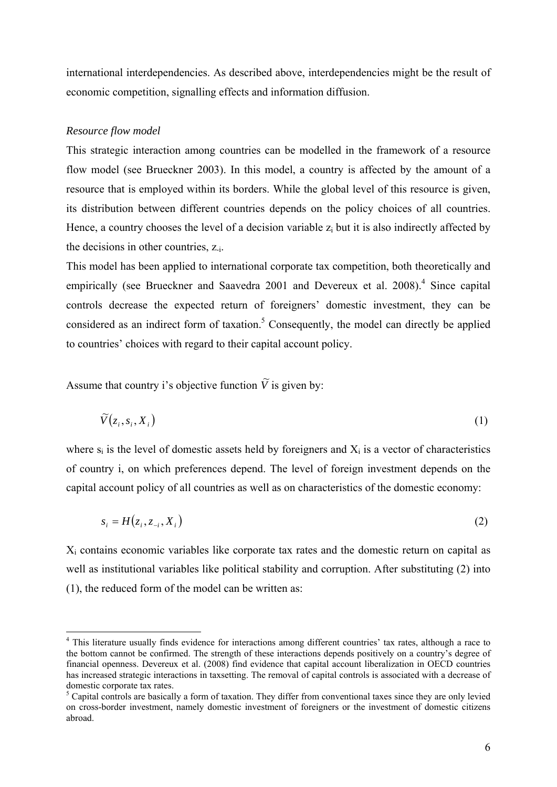international interdependencies. As described above, interdependencies might be the result of economic competition, signalling effects and information diffusion.

#### *Resource flow model*

This strategic interaction among countries can be modelled in the framework of a resource flow model (see Brueckner 2003). In this model, a country is affected by the amount of a resource that is employed within its borders. While the global level of this resource is given, its distribution between different countries depends on the policy choices of all countries. Hence, a country chooses the level of a decision variable  $z_i$  but it is also indirectly affected by the decisions in other countries, z-i.

This model has been applied to international corporate tax competition, both theoretically and empirically (see Brueckner and Saavedra 2001 and Devereux et al. 2008).<sup>4</sup> Since capital controls decrease the expected return of foreigners' domestic investment, they can be considered as an indirect form of taxation.<sup>5</sup> Consequently, the model can directly be applied to countries' choices with regard to their capital account policy.

Assume that country i's objective function  $\tilde{V}$  is given by:

$$
\widetilde{V}(z_i, s_i, X_i) \tag{1}
$$

where  $s_i$  is the level of domestic assets held by foreigners and  $X_i$  is a vector of characteristics of country i, on which preferences depend. The level of foreign investment depends on the capital account policy of all countries as well as on characteristics of the domestic economy:

$$
s_i = H(z_i, z_{-i}, X_i) \tag{2}
$$

Xi contains economic variables like corporate tax rates and the domestic return on capital as well as institutional variables like political stability and corruption. After substituting (2) into (1), the reduced form of the model can be written as:

This literature usually finds evidence for interactions among different countries' tax rates, although a race to the bottom cannot be confirmed. The strength of these interactions depends positively on a country's degree of financial openness. Devereux et al. (2008) find evidence that capital account liberalization in OECD countries has increased strategic interactions in taxsetting. The removal of capital controls is associated with a decrease of domestic corporate tax rates.

<sup>&</sup>lt;sup>5</sup> Capital controls are basically a form of taxation. They differ from conventional taxes since they are only levied on cross-border investment, namely domestic investment of foreigners or the investment of domestic citizens abroad.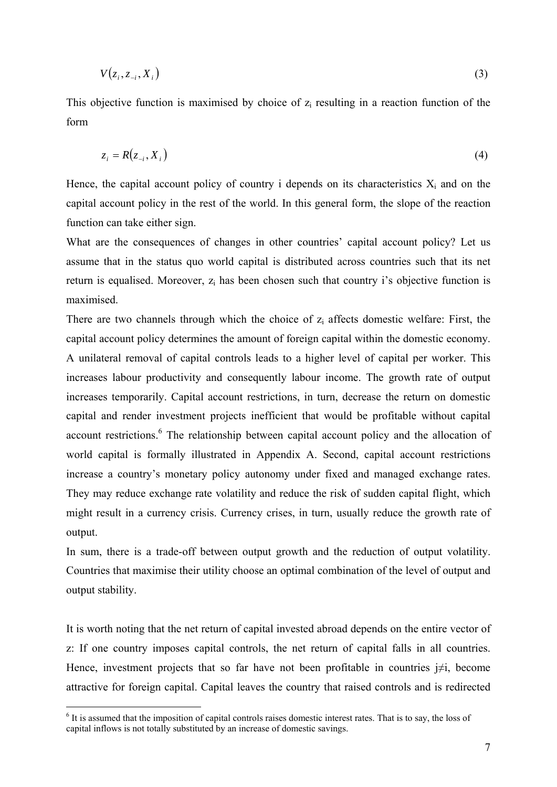$$
V(z_i, z_{-i}, X_i) \tag{3}
$$

This objective function is maximised by choice of  $z_i$  resulting in a reaction function of the form

$$
z_i = R(z_{-i}, X_i) \tag{4}
$$

Hence, the capital account policy of country i depends on its characteristics  $X_i$  and on the capital account policy in the rest of the world. In this general form, the slope of the reaction function can take either sign.

What are the consequences of changes in other countries' capital account policy? Let us assume that in the status quo world capital is distributed across countries such that its net return is equalised. Moreover,  $z_i$  has been chosen such that country i's objective function is maximised.

There are two channels through which the choice of  $z_i$  affects domestic welfare: First, the capital account policy determines the amount of foreign capital within the domestic economy. A unilateral removal of capital controls leads to a higher level of capital per worker. This increases labour productivity and consequently labour income. The growth rate of output increases temporarily. Capital account restrictions, in turn, decrease the return on domestic capital and render investment projects inefficient that would be profitable without capital account restrictions.<sup>6</sup> The relationship between capital account policy and the allocation of world capital is formally illustrated in Appendix A. Second, capital account restrictions increase a country's monetary policy autonomy under fixed and managed exchange rates. They may reduce exchange rate volatility and reduce the risk of sudden capital flight, which might result in a currency crisis. Currency crises, in turn, usually reduce the growth rate of output.

In sum, there is a trade-off between output growth and the reduction of output volatility. Countries that maximise their utility choose an optimal combination of the level of output and output stability.

It is worth noting that the net return of capital invested abroad depends on the entire vector of z: If one country imposes capital controls, the net return of capital falls in all countries. Hence, investment projects that so far have not been profitable in countries  $j\neq i$ , become attractive for foreign capital. Capital leaves the country that raised controls and is redirected

1

 $<sup>6</sup>$  It is assumed that the imposition of capital controls raises domestic interest rates. That is to say, the loss of</sup> capital inflows is not totally substituted by an increase of domestic savings.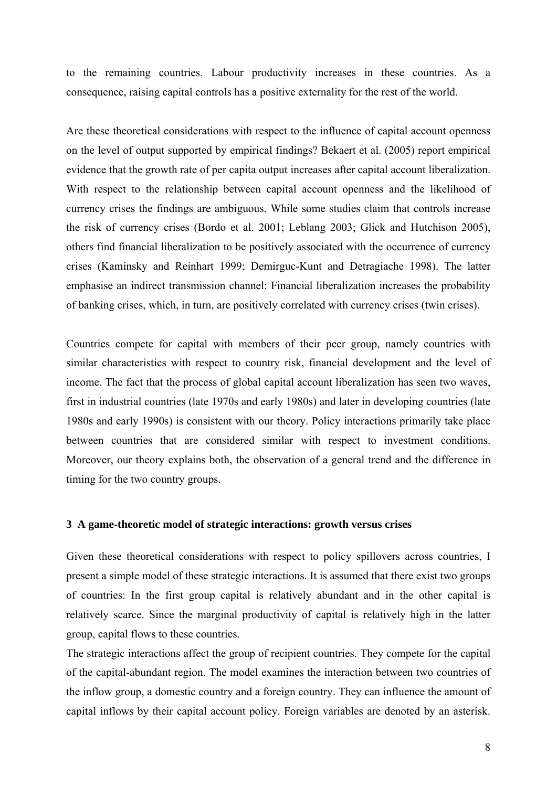to the remaining countries. Labour productivity increases in these countries. As a consequence, raising capital controls has a positive externality for the rest of the world.

Are these theoretical considerations with respect to the influence of capital account openness on the level of output supported by empirical findings? Bekaert et al. (2005) report empirical evidence that the growth rate of per capita output increases after capital account liberalization. With respect to the relationship between capital account openness and the likelihood of currency crises the findings are ambiguous. While some studies claim that controls increase the risk of currency crises (Bordo et al. 2001; Leblang 2003; Glick and Hutchison 2005), others find financial liberalization to be positively associated with the occurrence of currency crises (Kaminsky and Reinhart 1999; Demirguc-Kunt and Detragiache 1998). The latter emphasise an indirect transmission channel: Financial liberalization increases the probability of banking crises, which, in turn, are positively correlated with currency crises (twin crises).

Countries compete for capital with members of their peer group, namely countries with similar characteristics with respect to country risk, financial development and the level of income. The fact that the process of global capital account liberalization has seen two waves, first in industrial countries (late 1970s and early 1980s) and later in developing countries (late 1980s and early 1990s) is consistent with our theory. Policy interactions primarily take place between countries that are considered similar with respect to investment conditions. Moreover, our theory explains both, the observation of a general trend and the difference in timing for the two country groups.

### **3 A game-theoretic model of strategic interactions: growth versus crises**

Given these theoretical considerations with respect to policy spillovers across countries, I present a simple model of these strategic interactions. It is assumed that there exist two groups of countries: In the first group capital is relatively abundant and in the other capital is relatively scarce. Since the marginal productivity of capital is relatively high in the latter group, capital flows to these countries.

The strategic interactions affect the group of recipient countries. They compete for the capital of the capital-abundant region. The model examines the interaction between two countries of the inflow group, a domestic country and a foreign country. They can influence the amount of capital inflows by their capital account policy. Foreign variables are denoted by an asterisk.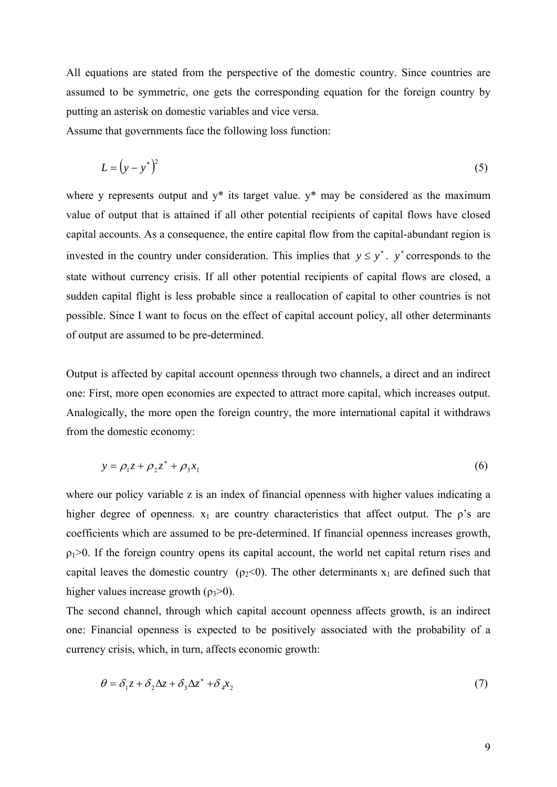All equations are stated from the perspective of the domestic country. Since countries are assumed to be symmetric, one gets the corresponding equation for the foreign country by putting an asterisk on domestic variables and vice versa.

Assume that governments face the following loss function:

$$
L = \left(y - y^*\right)^2\tag{5}
$$

where y represents output and  $y^*$  its target value.  $y^*$  may be considered as the maximum value of output that is attained if all other potential recipients of capital flows have closed capital accounts. As a consequence, the entire capital flow from the capital-abundant region is invested in the country under consideration. This implies that  $y \le y^*$ . *y*<sup>\*</sup> corresponds to the state without currency crisis. If all other potential recipients of capital flows are closed, a sudden capital flight is less probable since a reallocation of capital to other countries is not possible. Since I want to focus on the effect of capital account policy, all other determinants of output are assumed to be pre-determined.

Output is affected by capital account openness through two channels, a direct and an indirect one: First, more open economies are expected to attract more capital, which increases output. Analogically, the more open the foreign country, the more international capital it withdraws from the domestic economy:

$$
y = \rho_1 z + \rho_2 z^* + \rho_3 x_1 \tag{6}
$$

where our policy variable z is an index of financial openness with higher values indicating a higher degree of openness.  $x_1$  are country characteristics that affect output. The  $\rho$ 's are coefficients which are assumed to be pre-determined. If financial openness increases growth,  $p_1$ >0. If the foreign country opens its capital account, the world net capital return rises and capital leaves the domestic country ( $\rho_2$ <0). The other determinants x<sub>1</sub> are defined such that higher values increase growth  $(\rho_3>0)$ .

The second channel, through which capital account openness affects growth, is an indirect one: Financial openness is expected to be positively associated with the probability of a currency crisis, which, in turn, affects economic growth:

$$
\theta = \delta_1 z + \delta_2 \Delta z + \delta_3 \Delta z^* + \delta_4 x_2 \tag{7}
$$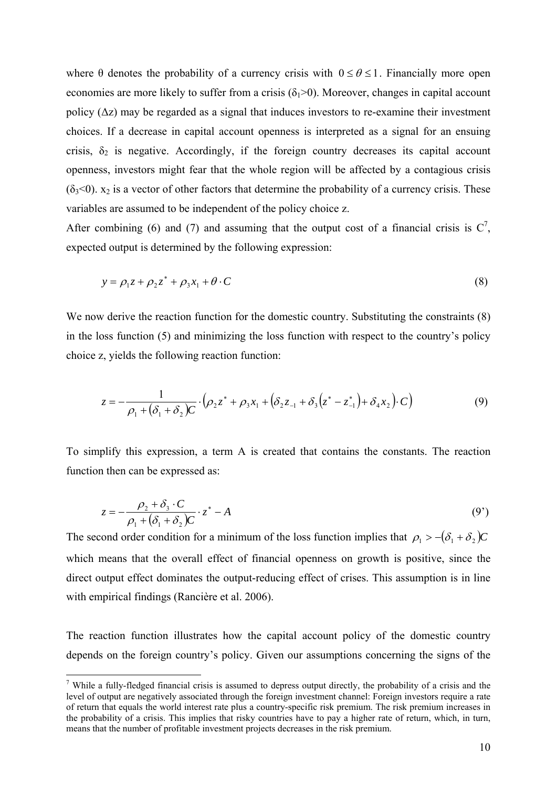where  $\theta$  denotes the probability of a currency crisis with  $0 \le \theta \le 1$ . Financially more open economies are more likely to suffer from a crisis  $(\delta_1>0)$ . Moreover, changes in capital account policy  $(\Delta z)$  may be regarded as a signal that induces investors to re-examine their investment choices. If a decrease in capital account openness is interpreted as a signal for an ensuing crisis,  $\delta_2$  is negative. Accordingly, if the foreign country decreases its capital account openness, investors might fear that the whole region will be affected by a contagious crisis  $(\delta_3 \le 0)$ .  $x_2$  is a vector of other factors that determine the probability of a currency crisis. These variables are assumed to be independent of the policy choice z.

After combining (6) and (7) and assuming that the output cost of a financial crisis is  $C^7$ , expected output is determined by the following expression:

$$
y = \rho_1 z + \rho_2 z^* + \rho_3 x_1 + \theta \cdot C \tag{8}
$$

We now derive the reaction function for the domestic country. Substituting the constraints  $(8)$ in the loss function (5) and minimizing the loss function with respect to the country's policy choice z, yields the following reaction function:

$$
z = -\frac{1}{\rho_1 + (\delta_1 + \delta_2)C} \cdot (\rho_2 z^* + \rho_3 x_1 + (\delta_2 z_{-1} + \delta_3 (z^* - z_{-1}^*) + \delta_4 x_2) \cdot C)
$$
(9)

To simplify this expression, a term A is created that contains the constants. The reaction function then can be expressed as:

$$
z = -\frac{\rho_2 + \delta_3 \cdot C}{\rho_1 + (\delta_1 + \delta_2)C} \cdot z^* - A \tag{9'}
$$

The second order condition for a minimum of the loss function implies that  $\rho_1 > -(\delta_1 + \delta_2)C$ which means that the overall effect of financial openness on growth is positive, since the direct output effect dominates the output-reducing effect of crises. This assumption is in line with empirical findings (Rancière et al. 2006).

The reaction function illustrates how the capital account policy of the domestic country depends on the foreign country's policy. Given our assumptions concerning the signs of the

<sup>&</sup>lt;sup>7</sup> While a fully-fledged financial crisis is assumed to depress output directly, the probability of a crisis and the level of output are negatively associated through the foreign investment channel: Foreign investors require a rate of return that equals the world interest rate plus a country-specific risk premium. The risk premium increases in the probability of a crisis. This implies that risky countries have to pay a higher rate of return, which, in turn, means that the number of profitable investment projects decreases in the risk premium.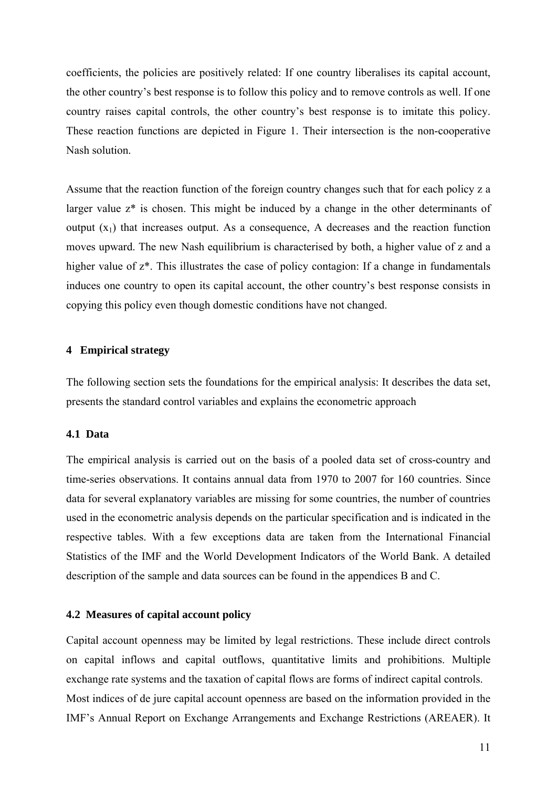coefficients, the policies are positively related: If one country liberalises its capital account, the other country's best response is to follow this policy and to remove controls as well. If one country raises capital controls, the other country's best response is to imitate this policy. These reaction functions are depicted in Figure 1. Their intersection is the non-cooperative Nash solution.

Assume that the reaction function of the foreign country changes such that for each policy z a larger value z\* is chosen. This might be induced by a change in the other determinants of output  $(x_1)$  that increases output. As a consequence, A decreases and the reaction function moves upward. The new Nash equilibrium is characterised by both, a higher value of z and a higher value of  $z^*$ . This illustrates the case of policy contagion: If a change in fundamentals induces one country to open its capital account, the other country's best response consists in copying this policy even though domestic conditions have not changed.

#### **4 Empirical strategy**

The following section sets the foundations for the empirical analysis: It describes the data set, presents the standard control variables and explains the econometric approach

### **4.1 Data**

The empirical analysis is carried out on the basis of a pooled data set of cross-country and time-series observations. It contains annual data from 1970 to 2007 for 160 countries. Since data for several explanatory variables are missing for some countries, the number of countries used in the econometric analysis depends on the particular specification and is indicated in the respective tables. With a few exceptions data are taken from the International Financial Statistics of the IMF and the World Development Indicators of the World Bank. A detailed description of the sample and data sources can be found in the appendices B and C.

#### **4.2 Measures of capital account policy**

Capital account openness may be limited by legal restrictions. These include direct controls on capital inflows and capital outflows, quantitative limits and prohibitions. Multiple exchange rate systems and the taxation of capital flows are forms of indirect capital controls. Most indices of de jure capital account openness are based on the information provided in the IMF's Annual Report on Exchange Arrangements and Exchange Restrictions (AREAER). It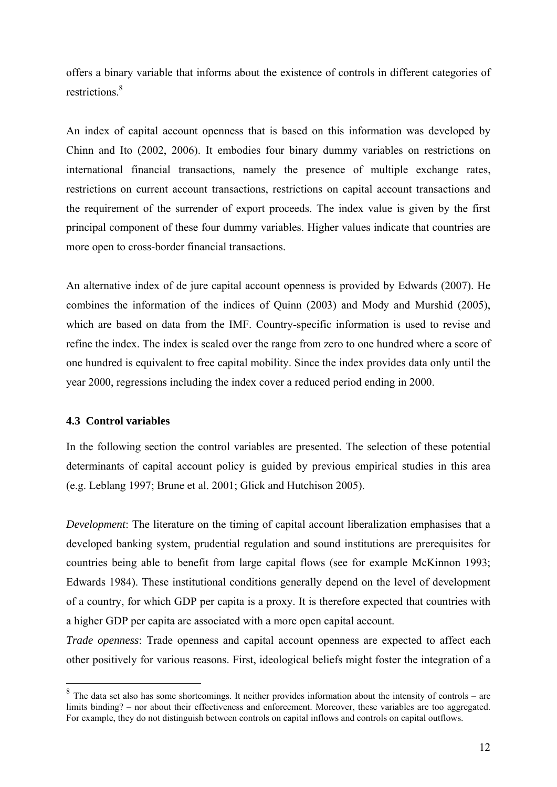offers a binary variable that informs about the existence of controls in different categories of restrictions.<sup>8</sup>

An index of capital account openness that is based on this information was developed by Chinn and Ito (2002, 2006). It embodies four binary dummy variables on restrictions on international financial transactions, namely the presence of multiple exchange rates, restrictions on current account transactions, restrictions on capital account transactions and the requirement of the surrender of export proceeds. The index value is given by the first principal component of these four dummy variables. Higher values indicate that countries are more open to cross-border financial transactions.

An alternative index of de jure capital account openness is provided by Edwards (2007). He combines the information of the indices of Quinn (2003) and Mody and Murshid (2005), which are based on data from the IMF. Country-specific information is used to revise and refine the index. The index is scaled over the range from zero to one hundred where a score of one hundred is equivalent to free capital mobility. Since the index provides data only until the year 2000, regressions including the index cover a reduced period ending in 2000.

## **4.3 Control variables**

1

In the following section the control variables are presented. The selection of these potential determinants of capital account policy is guided by previous empirical studies in this area (e.g. Leblang 1997; Brune et al. 2001; Glick and Hutchison 2005).

*Development*: The literature on the timing of capital account liberalization emphasises that a developed banking system, prudential regulation and sound institutions are prerequisites for countries being able to benefit from large capital flows (see for example McKinnon 1993; Edwards 1984). These institutional conditions generally depend on the level of development of a country, for which GDP per capita is a proxy. It is therefore expected that countries with a higher GDP per capita are associated with a more open capital account.

*Trade openness*: Trade openness and capital account openness are expected to affect each other positively for various reasons. First, ideological beliefs might foster the integration of a

<sup>8</sup> The data set also has some shortcomings. It neither provides information about the intensity of controls – are limits binding? – nor about their effectiveness and enforcement. Moreover, these variables are too aggregated. For example, they do not distinguish between controls on capital inflows and controls on capital outflows.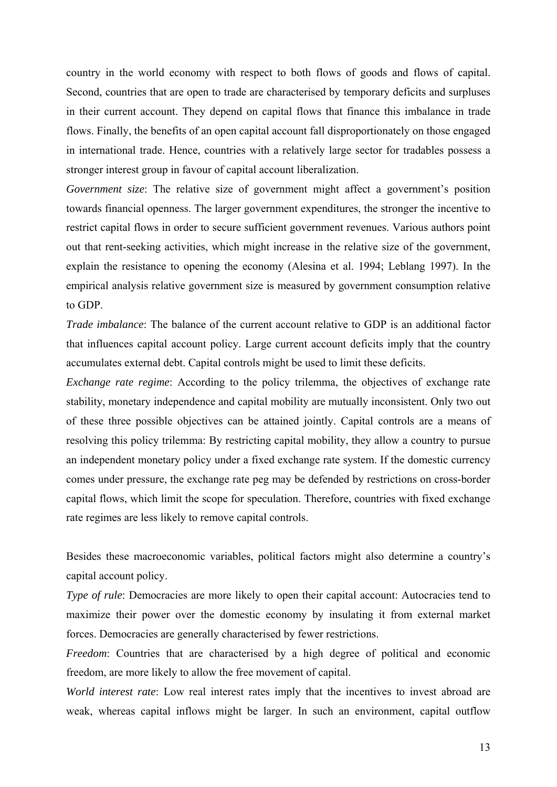country in the world economy with respect to both flows of goods and flows of capital. Second, countries that are open to trade are characterised by temporary deficits and surpluses in their current account. They depend on capital flows that finance this imbalance in trade flows. Finally, the benefits of an open capital account fall disproportionately on those engaged in international trade. Hence, countries with a relatively large sector for tradables possess a stronger interest group in favour of capital account liberalization.

*Government size*: The relative size of government might affect a government's position towards financial openness. The larger government expenditures, the stronger the incentive to restrict capital flows in order to secure sufficient government revenues. Various authors point out that rent-seeking activities, which might increase in the relative size of the government, explain the resistance to opening the economy (Alesina et al. 1994; Leblang 1997). In the empirical analysis relative government size is measured by government consumption relative to GDP.

*Trade imbalance*: The balance of the current account relative to GDP is an additional factor that influences capital account policy. Large current account deficits imply that the country accumulates external debt. Capital controls might be used to limit these deficits.

*Exchange rate regime*: According to the policy trilemma, the objectives of exchange rate stability, monetary independence and capital mobility are mutually inconsistent. Only two out of these three possible objectives can be attained jointly. Capital controls are a means of resolving this policy trilemma: By restricting capital mobility, they allow a country to pursue an independent monetary policy under a fixed exchange rate system. If the domestic currency comes under pressure, the exchange rate peg may be defended by restrictions on cross-border capital flows, which limit the scope for speculation. Therefore, countries with fixed exchange rate regimes are less likely to remove capital controls.

Besides these macroeconomic variables, political factors might also determine a country's capital account policy.

*Type of rule*: Democracies are more likely to open their capital account: Autocracies tend to maximize their power over the domestic economy by insulating it from external market forces. Democracies are generally characterised by fewer restrictions.

*Freedom*: Countries that are characterised by a high degree of political and economic freedom, are more likely to allow the free movement of capital.

*World interest rate*: Low real interest rates imply that the incentives to invest abroad are weak, whereas capital inflows might be larger. In such an environment, capital outflow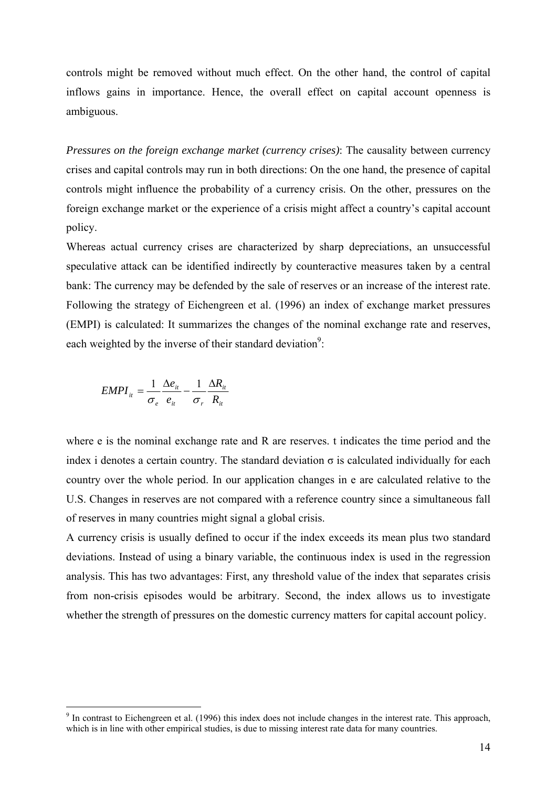controls might be removed without much effect. On the other hand, the control of capital inflows gains in importance. Hence, the overall effect on capital account openness is ambiguous.

*Pressures on the foreign exchange market (currency crises)*: The causality between currency crises and capital controls may run in both directions: On the one hand, the presence of capital controls might influence the probability of a currency crisis. On the other, pressures on the foreign exchange market or the experience of a crisis might affect a country's capital account policy.

Whereas actual currency crises are characterized by sharp depreciations, an unsuccessful speculative attack can be identified indirectly by counteractive measures taken by a central bank: The currency may be defended by the sale of reserves or an increase of the interest rate. Following the strategy of Eichengreen et al. (1996) an index of exchange market pressures (EMPI) is calculated: It summarizes the changes of the nominal exchange rate and reserves, each weighted by the inverse of their standard deviation<sup>9</sup>:

$$
EMPI_{it} = \frac{1}{\sigma_e} \frac{\Delta e_{it}}{e_{it}} - \frac{1}{\sigma_r} \frac{\Delta R_{it}}{R_{it}}
$$

1

where e is the nominal exchange rate and R are reserves. t indicates the time period and the index i denotes a certain country. The standard deviation  $\sigma$  is calculated individually for each country over the whole period. In our application changes in e are calculated relative to the U.S. Changes in reserves are not compared with a reference country since a simultaneous fall of reserves in many countries might signal a global crisis.

A currency crisis is usually defined to occur if the index exceeds its mean plus two standard deviations. Instead of using a binary variable, the continuous index is used in the regression analysis. This has two advantages: First, any threshold value of the index that separates crisis from non-crisis episodes would be arbitrary. Second, the index allows us to investigate whether the strength of pressures on the domestic currency matters for capital account policy.

 $9$  In contrast to Eichengreen et al. (1996) this index does not include changes in the interest rate. This approach, which is in line with other empirical studies, is due to missing interest rate data for many countries.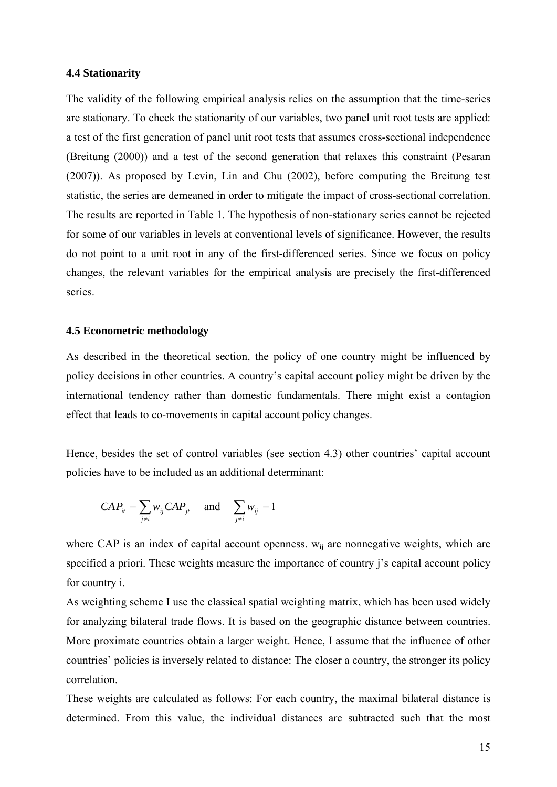#### **4.4 Stationarity**

The validity of the following empirical analysis relies on the assumption that the time-series are stationary. To check the stationarity of our variables, two panel unit root tests are applied: a test of the first generation of panel unit root tests that assumes cross-sectional independence (Breitung (2000)) and a test of the second generation that relaxes this constraint (Pesaran (2007)). As proposed by Levin, Lin and Chu (2002), before computing the Breitung test statistic, the series are demeaned in order to mitigate the impact of cross-sectional correlation. The results are reported in Table 1. The hypothesis of non-stationary series cannot be rejected for some of our variables in levels at conventional levels of significance. However, the results do not point to a unit root in any of the first-differenced series. Since we focus on policy changes, the relevant variables for the empirical analysis are precisely the first-differenced series.

#### **4.5 Econometric methodology**

As described in the theoretical section, the policy of one country might be influenced by policy decisions in other countries. A country's capital account policy might be driven by the international tendency rather than domestic fundamentals. There might exist a contagion effect that leads to co-movements in capital account policy changes.

Hence, besides the set of control variables (see section 4.3) other countries' capital account policies have to be included as an additional determinant:

$$
\overline{CA}P_{it} = \sum_{j \neq i} w_{ij} \overline{CAP}_{jt} \quad \text{and} \quad \sum_{j \neq i} w_{ij} = 1
$$

where CAP is an index of capital account openness.  $w_{ij}$  are nonnegative weights, which are specified a priori. These weights measure the importance of country j's capital account policy for country i.

As weighting scheme I use the classical spatial weighting matrix, which has been used widely for analyzing bilateral trade flows. It is based on the geographic distance between countries. More proximate countries obtain a larger weight. Hence, I assume that the influence of other countries' policies is inversely related to distance: The closer a country, the stronger its policy correlation.

These weights are calculated as follows: For each country, the maximal bilateral distance is determined. From this value, the individual distances are subtracted such that the most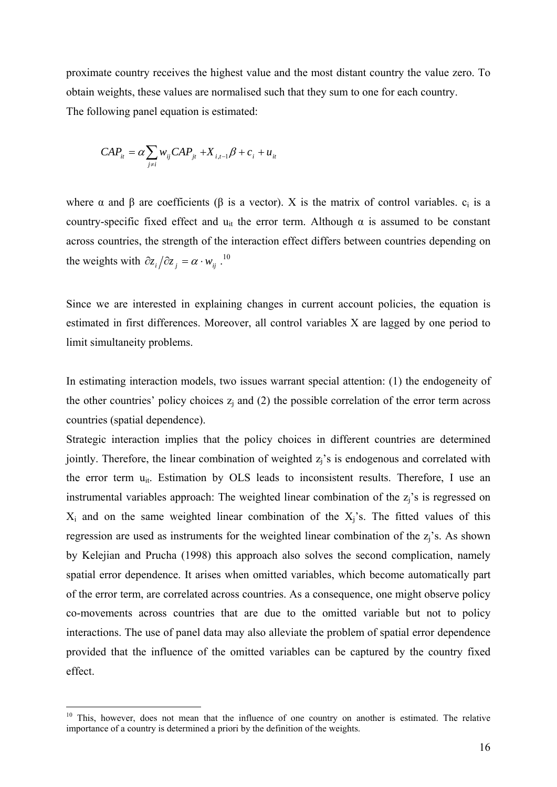proximate country receives the highest value and the most distant country the value zero. To obtain weights, these values are normalised such that they sum to one for each country. The following panel equation is estimated:

$$
CAP_{it} = \alpha \sum_{j \neq i} w_{ij} CAP_{jt} + X_{i,t-1}\beta + c_i + u_{it}
$$

where  $\alpha$  and  $\beta$  are coefficients ( $\beta$  is a vector). X is the matrix of control variables.  $c_i$  is a country-specific fixed effect and  $u_{it}$  the error term. Although  $\alpha$  is assumed to be constant across countries, the strength of the interaction effect differs between countries depending on the weights with  $\partial z_i / \partial z_j = \alpha \cdot w_{ij}^{-10}$ 

Since we are interested in explaining changes in current account policies, the equation is estimated in first differences. Moreover, all control variables X are lagged by one period to limit simultaneity problems.

In estimating interaction models, two issues warrant special attention: (1) the endogeneity of the other countries' policy choices  $z_i$  and (2) the possible correlation of the error term across countries (spatial dependence).

Strategic interaction implies that the policy choices in different countries are determined jointly. Therefore, the linear combination of weighted  $z<sub>i</sub>$ 's is endogenous and correlated with the error term  $u_{it}$ . Estimation by OLS leads to inconsistent results. Therefore, I use an instrumental variables approach: The weighted linear combination of the  $z_i$ 's is regressed on  $X_i$  and on the same weighted linear combination of the  $X_i$ 's. The fitted values of this regression are used as instruments for the weighted linear combination of the z<sub>i</sub>'s. As shown by Kelejian and Prucha (1998) this approach also solves the second complication, namely spatial error dependence. It arises when omitted variables, which become automatically part of the error term, are correlated across countries. As a consequence, one might observe policy co-movements across countries that are due to the omitted variable but not to policy interactions. The use of panel data may also alleviate the problem of spatial error dependence provided that the influence of the omitted variables can be captured by the country fixed effect.

1

<sup>&</sup>lt;sup>10</sup> This, however, does not mean that the influence of one country on another is estimated. The relative importance of a country is determined a priori by the definition of the weights.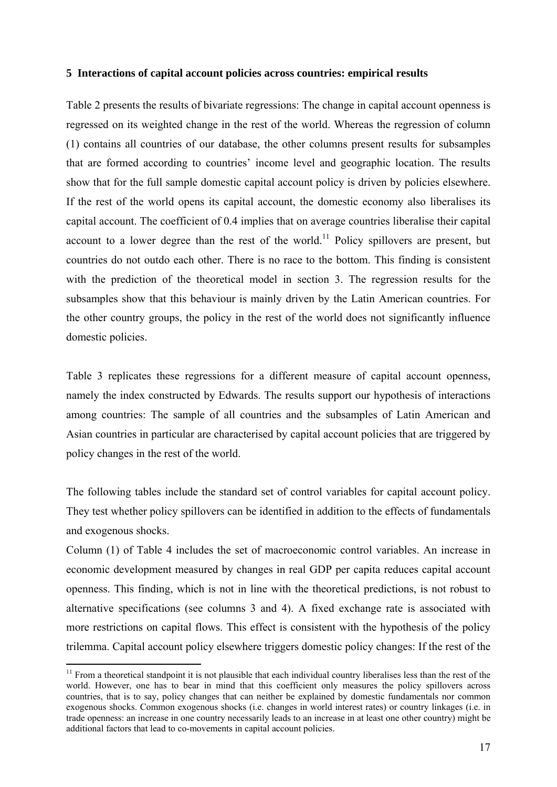#### **5 Interactions of capital account policies across countries: empirical results**

Table 2 presents the results of bivariate regressions: The change in capital account openness is regressed on its weighted change in the rest of the world. Whereas the regression of column (1) contains all countries of our database, the other columns present results for subsamples that are formed according to countries' income level and geographic location. The results show that for the full sample domestic capital account policy is driven by policies elsewhere. If the rest of the world opens its capital account, the domestic economy also liberalises its capital account. The coefficient of 0.4 implies that on average countries liberalise their capital account to a lower degree than the rest of the world.<sup>11</sup> Policy spillovers are present, but countries do not outdo each other. There is no race to the bottom. This finding is consistent with the prediction of the theoretical model in section 3. The regression results for the subsamples show that this behaviour is mainly driven by the Latin American countries. For the other country groups, the policy in the rest of the world does not significantly influence domestic policies.

Table 3 replicates these regressions for a different measure of capital account openness, namely the index constructed by Edwards. The results support our hypothesis of interactions among countries: The sample of all countries and the subsamples of Latin American and Asian countries in particular are characterised by capital account policies that are triggered by policy changes in the rest of the world.

The following tables include the standard set of control variables for capital account policy. They test whether policy spillovers can be identified in addition to the effects of fundamentals and exogenous shocks.

Column (1) of Table 4 includes the set of macroeconomic control variables. An increase in economic development measured by changes in real GDP per capita reduces capital account openness. This finding, which is not in line with the theoretical predictions, is not robust to alternative specifications (see columns 3 and 4). A fixed exchange rate is associated with more restrictions on capital flows. This effect is consistent with the hypothesis of the policy trilemma. Capital account policy elsewhere triggers domestic policy changes: If the rest of the

1

 $11$  From a theoretical standpoint it is not plausible that each individual country liberalises less than the rest of the world. However, one has to bear in mind that this coefficient only measures the policy spillovers across countries, that is to say, policy changes that can neither be explained by domestic fundamentals nor common exogenous shocks. Common exogenous shocks (i.e. changes in world interest rates) or country linkages (i.e. in trade openness: an increase in one country necessarily leads to an increase in at least one other country) might be additional factors that lead to co-movements in capital account policies.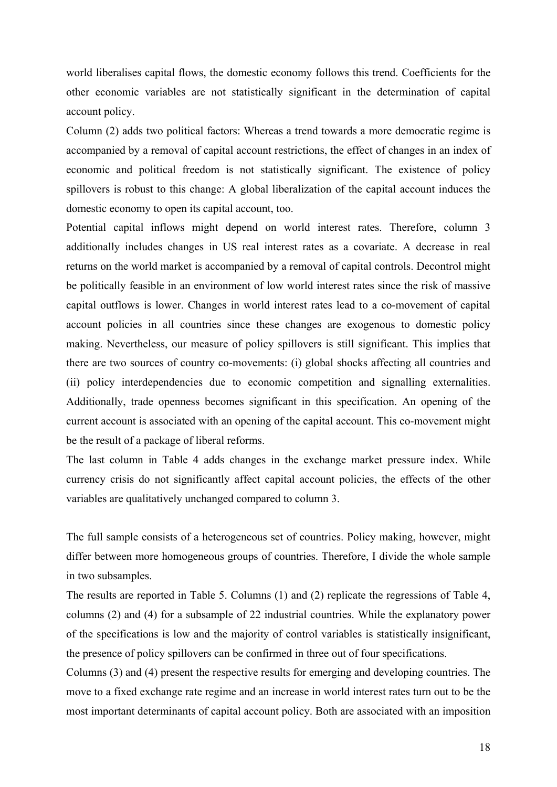world liberalises capital flows, the domestic economy follows this trend. Coefficients for the other economic variables are not statistically significant in the determination of capital account policy.

Column (2) adds two political factors: Whereas a trend towards a more democratic regime is accompanied by a removal of capital account restrictions, the effect of changes in an index of economic and political freedom is not statistically significant. The existence of policy spillovers is robust to this change: A global liberalization of the capital account induces the domestic economy to open its capital account, too.

Potential capital inflows might depend on world interest rates. Therefore, column 3 additionally includes changes in US real interest rates as a covariate. A decrease in real returns on the world market is accompanied by a removal of capital controls. Decontrol might be politically feasible in an environment of low world interest rates since the risk of massive capital outflows is lower. Changes in world interest rates lead to a co-movement of capital account policies in all countries since these changes are exogenous to domestic policy making. Nevertheless, our measure of policy spillovers is still significant. This implies that there are two sources of country co-movements: (i) global shocks affecting all countries and (ii) policy interdependencies due to economic competition and signalling externalities. Additionally, trade openness becomes significant in this specification. An opening of the current account is associated with an opening of the capital account. This co-movement might be the result of a package of liberal reforms.

The last column in Table 4 adds changes in the exchange market pressure index. While currency crisis do not significantly affect capital account policies, the effects of the other variables are qualitatively unchanged compared to column 3.

The full sample consists of a heterogeneous set of countries. Policy making, however, might differ between more homogeneous groups of countries. Therefore, I divide the whole sample in two subsamples.

The results are reported in Table 5. Columns (1) and (2) replicate the regressions of Table 4, columns (2) and (4) for a subsample of 22 industrial countries. While the explanatory power of the specifications is low and the majority of control variables is statistically insignificant, the presence of policy spillovers can be confirmed in three out of four specifications.

Columns (3) and (4) present the respective results for emerging and developing countries. The move to a fixed exchange rate regime and an increase in world interest rates turn out to be the most important determinants of capital account policy. Both are associated with an imposition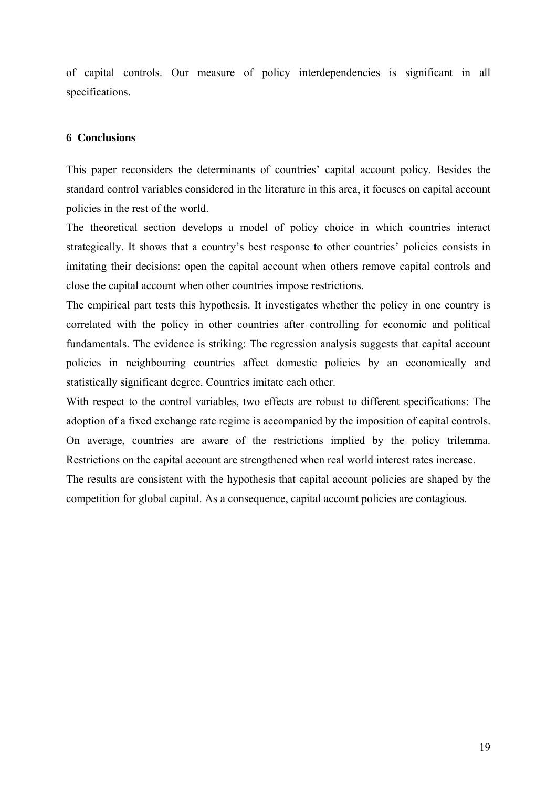of capital controls. Our measure of policy interdependencies is significant in all specifications.

## **6 Conclusions**

This paper reconsiders the determinants of countries' capital account policy. Besides the standard control variables considered in the literature in this area, it focuses on capital account policies in the rest of the world.

The theoretical section develops a model of policy choice in which countries interact strategically. It shows that a country's best response to other countries' policies consists in imitating their decisions: open the capital account when others remove capital controls and close the capital account when other countries impose restrictions.

The empirical part tests this hypothesis. It investigates whether the policy in one country is correlated with the policy in other countries after controlling for economic and political fundamentals. The evidence is striking: The regression analysis suggests that capital account policies in neighbouring countries affect domestic policies by an economically and statistically significant degree. Countries imitate each other.

With respect to the control variables, two effects are robust to different specifications: The adoption of a fixed exchange rate regime is accompanied by the imposition of capital controls. On average, countries are aware of the restrictions implied by the policy trilemma. Restrictions on the capital account are strengthened when real world interest rates increase.

The results are consistent with the hypothesis that capital account policies are shaped by the competition for global capital. As a consequence, capital account policies are contagious.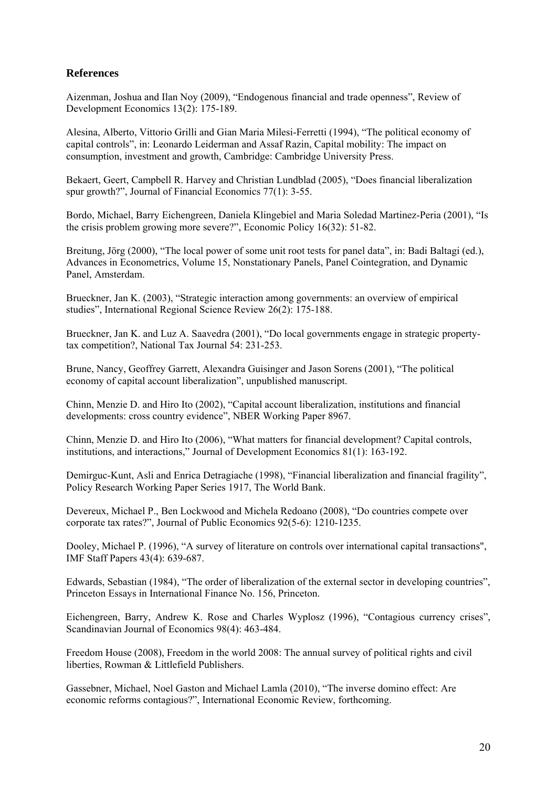## **References**

Aizenman, Joshua and Ilan Noy (2009), "Endogenous financial and trade openness", Review of Development Economics 13(2): 175-189.

Alesina, Alberto, Vittorio Grilli and Gian Maria Milesi-Ferretti (1994), "The political economy of capital controls", in: Leonardo Leiderman and Assaf Razin, Capital mobility: The impact on consumption, investment and growth, Cambridge: Cambridge University Press.

Bekaert, Geert, Campbell R. Harvey and Christian Lundblad (2005), "Does financial liberalization spur growth?", Journal of Financial Economics 77(1): 3-55.

Bordo, Michael, Barry Eichengreen, Daniela Klingebiel and Maria Soledad Martinez-Peria (2001), "Is the crisis problem growing more severe?", Economic Policy 16(32): 51-82.

Breitung, Jörg (2000), "The local power of some unit root tests for panel data", in: Badi Baltagi (ed.), Advances in Econometrics, Volume 15, Nonstationary Panels, Panel Cointegration, and Dynamic Panel, Amsterdam.

Brueckner, Jan K. (2003), "Strategic interaction among governments: an overview of empirical studies", International Regional Science Review 26(2): 175-188.

Brueckner, Jan K. and Luz A. Saavedra (2001), "Do local governments engage in strategic propertytax competition?, National Tax Journal 54: 231-253.

Brune, Nancy, Geoffrey Garrett, Alexandra Guisinger and Jason Sorens (2001), "The political economy of capital account liberalization", unpublished manuscript.

Chinn, Menzie D. and Hiro Ito (2002), "Capital account liberalization, institutions and financial developments: cross country evidence", NBER Working Paper 8967.

Chinn, Menzie D. and Hiro Ito (2006), "What matters for financial development? Capital controls, institutions, and interactions," Journal of Development Economics 81(1): 163-192.

Demirguc-Kunt, Asli and Enrica Detragiache (1998), "Financial liberalization and financial fragility", Policy Research Working Paper Series 1917, The World Bank.

Devereux, Michael P., Ben Lockwood and Michela Redoano (2008), "Do countries compete over corporate tax rates?", Journal of Public Economics 92(5-6): 1210-1235.

Dooley, Michael P. (1996), "A survey of literature on controls over international capital transactions", IMF Staff Papers 43(4): 639-687.

Edwards, Sebastian (1984), "The order of liberalization of the external sector in developing countries", Princeton Essays in International Finance No. 156, Princeton.

Eichengreen, Barry, Andrew K. Rose and Charles Wyplosz (1996), "Contagious currency crises", Scandinavian Journal of Economics 98(4): 463-484.

Freedom House (2008), Freedom in the world 2008: The annual survey of political rights and civil liberties, Rowman & Littlefield Publishers.

Gassebner, Michael, Noel Gaston and Michael Lamla (2010), "The inverse domino effect: Are economic reforms contagious?", International Economic Review, forthcoming.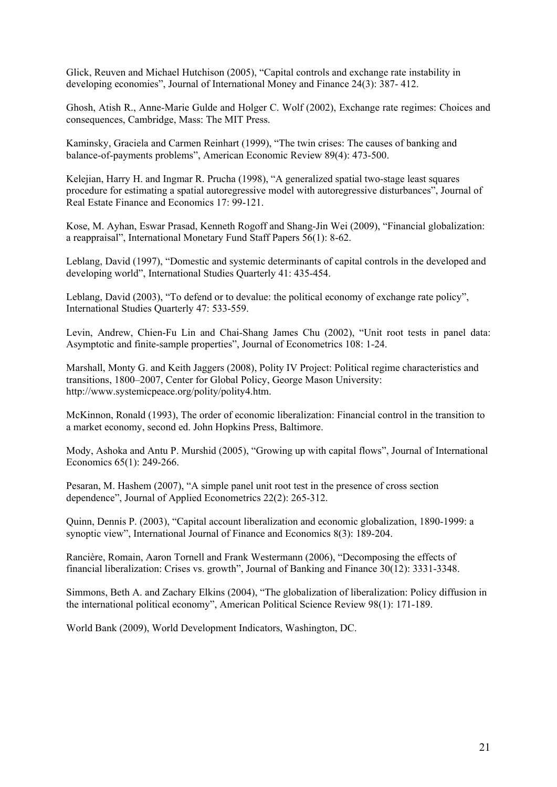Glick, Reuven and Michael Hutchison (2005), "Capital controls and exchange rate instability in developing economies", Journal of International Money and Finance 24(3): 387- 412.

Ghosh, Atish R., Anne-Marie Gulde and Holger C. Wolf (2002), Exchange rate regimes: Choices and consequences, Cambridge, Mass: The MIT Press.

Kaminsky, Graciela and Carmen Reinhart (1999), "The twin crises: The causes of banking and balance-of-payments problems", American Economic Review 89(4): 473-500.

Kelejian, Harry H. and Ingmar R. Prucha (1998), "A generalized spatial two-stage least squares procedure for estimating a spatial autoregressive model with autoregressive disturbances", Journal of Real Estate Finance and Economics 17: 99-121.

Kose, M. Ayhan, Eswar Prasad, Kenneth Rogoff and Shang-Jin Wei (2009), "Financial globalization: a reappraisal", International Monetary Fund Staff Papers 56(1): 8-62.

Leblang, David (1997), "Domestic and systemic determinants of capital controls in the developed and developing world", International Studies Quarterly 41: 435-454.

Leblang, David (2003), "To defend or to devalue: the political economy of exchange rate policy", International Studies Quarterly 47: 533-559.

Levin, Andrew, Chien-Fu Lin and Chai-Shang James Chu (2002), "Unit root tests in panel data: Asymptotic and finite-sample properties", Journal of Econometrics 108: 1-24.

Marshall, Monty G. and Keith Jaggers (2008), Polity IV Project: Political regime characteristics and transitions, 1800–2007, Center for Global Policy, George Mason University: http://www.systemicpeace.org/polity/polity4.htm.

McKinnon, Ronald (1993), The order of economic liberalization: Financial control in the transition to a market economy, second ed. John Hopkins Press, Baltimore.

Mody, Ashoka and Antu P. Murshid (2005), "Growing up with capital flows", Journal of International Economics 65(1): 249-266.

Pesaran, M. Hashem (2007), "A simple panel unit root test in the presence of cross section dependence", Journal of Applied Econometrics 22(2): 265-312.

Quinn, Dennis P. (2003), "Capital account liberalization and economic globalization, 1890-1999: a synoptic view", International Journal of Finance and Economics 8(3): 189-204.

Rancière, Romain, Aaron Tornell and Frank Westermann (2006), "Decomposing the effects of financial liberalization: Crises vs. growth", Journal of Banking and Finance 30(12): 3331-3348.

Simmons, Beth A. and Zachary Elkins (2004), "The globalization of liberalization: Policy diffusion in the international political economy", American Political Science Review 98(1): 171-189.

World Bank (2009), World Development Indicators, Washington, DC.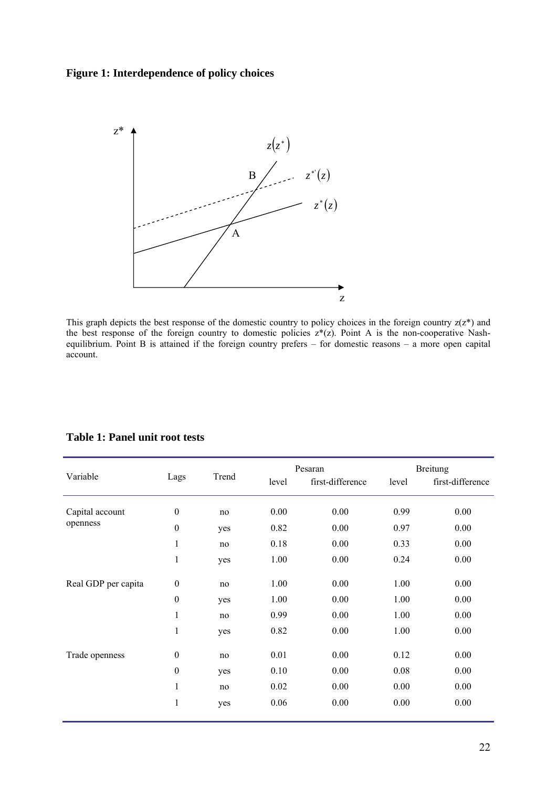## **Figure 1: Interdependence of policy choices**



This graph depicts the best response of the domestic country to policy choices in the foreign country  $z(z^*)$  and the best response of the foreign country to domestic policies  $z^*(z)$ . Point A is the non-cooperative Nashequilibrium. Point B is attained if the foreign country prefers – for domestic reasons – a more open capital account.

| Variable            |                  | Trend<br>Lags |       | Pesaran          | <b>Breitung</b> |                  |
|---------------------|------------------|---------------|-------|------------------|-----------------|------------------|
|                     |                  |               | level | first-difference | level           | first-difference |
| Capital account     | $\boldsymbol{0}$ | no            | 0.00  | 0.00             | 0.99            | 0.00             |
| openness            | $\boldsymbol{0}$ | yes           | 0.82  | 0.00             | 0.97            | 0.00             |
|                     | $\mathbf{1}$     | no            | 0.18  | 0.00             | 0.33            | 0.00             |
|                     | $\mathbf{1}$     | yes           | 1.00  | 0.00             | 0.24            | 0.00             |
| Real GDP per capita | $\boldsymbol{0}$ | no            | 1.00  | 0.00             | 1.00            | 0.00             |
|                     | $\mathbf{0}$     | yes           | 1.00  | 0.00             | 1.00            | 0.00             |
|                     | $\mathbf{1}$     | no            | 0.99  | 0.00             | 1.00            | 0.00             |
|                     | $\mathbf{1}$     | yes           | 0.82  | 0.00             | 1.00            | 0.00             |
| Trade openness      | $\boldsymbol{0}$ | no            | 0.01  | 0.00             | 0.12            | 0.00             |
|                     | $\boldsymbol{0}$ | yes           | 0.10  | 0.00             | 0.08            | 0.00             |
|                     | $\mathbf{1}$     | no            | 0.02  | 0.00             | 0.00            | 0.00             |
|                     | $\mathbf{1}$     | yes           | 0.06  | 0.00             | 0.00            | 0.00             |

## **Table 1: Panel unit root tests**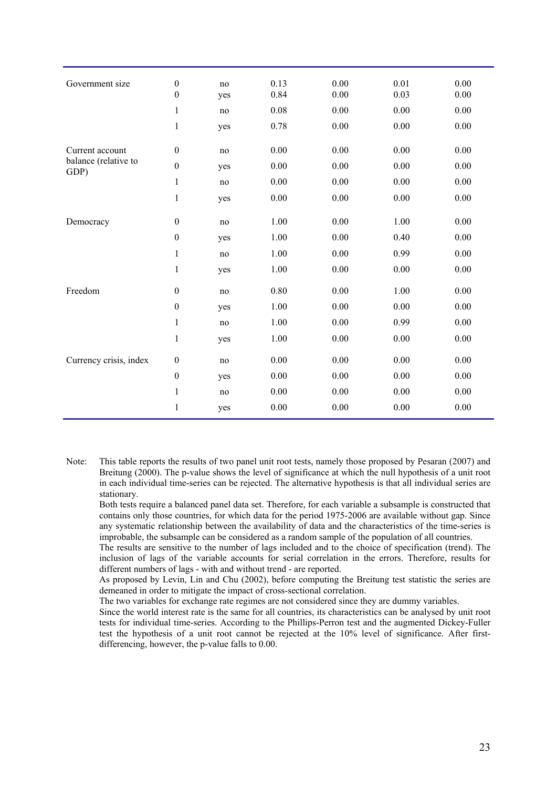| Government size              | $\boldsymbol{0}$ | no  | 0.13 | 0.00 | 0.01 | 0.00 |
|------------------------------|------------------|-----|------|------|------|------|
|                              | $\boldsymbol{0}$ | yes | 0.84 | 0.00 | 0.03 | 0.00 |
|                              | $\mathbf{1}$     | no  | 0.08 | 0.00 | 0.00 | 0.00 |
|                              | $\mathbf{1}$     | yes | 0.78 | 0.00 | 0.00 | 0.00 |
| Current account              | $\boldsymbol{0}$ | no  | 0.00 | 0.00 | 0.00 | 0.00 |
| balance (relative to<br>GDP) | $\boldsymbol{0}$ | yes | 0.00 | 0.00 | 0.00 | 0.00 |
|                              | $\mathbf{1}$     | no  | 0.00 | 0.00 | 0.00 | 0.00 |
|                              | $\mathbf{1}$     | yes | 0.00 | 0.00 | 0.00 | 0.00 |
| Democracy                    | $\boldsymbol{0}$ | no  | 1.00 | 0.00 | 1.00 | 0.00 |
|                              | $\boldsymbol{0}$ | yes | 1.00 | 0.00 | 0.40 | 0.00 |
|                              | $\mathbf{1}$     | no  | 1.00 | 0.00 | 0.99 | 0.00 |
|                              | $\mathbf{1}$     | yes | 1.00 | 0.00 | 0.00 | 0.00 |
| Freedom                      | $\boldsymbol{0}$ | no  | 0.80 | 0.00 | 1.00 | 0.00 |
|                              | $\boldsymbol{0}$ | yes | 1.00 | 0.00 | 0.00 | 0.00 |
|                              | $\mathbf{1}$     | no  | 1.00 | 0.00 | 0.99 | 0.00 |
|                              | $\mathbf{1}$     | yes | 1.00 | 0.00 | 0.00 | 0.00 |
| Currency crisis, index       | $\boldsymbol{0}$ | no  | 0.00 | 0.00 | 0.00 | 0.00 |
|                              | $\boldsymbol{0}$ | yes | 0.00 | 0.00 | 0.00 | 0.00 |
|                              | $\mathbf{1}$     | no  | 0.00 | 0.00 | 0.00 | 0.00 |
|                              | $\mathbf{1}$     | yes | 0.00 | 0.00 | 0.00 | 0.00 |

Note: This table reports the results of two panel unit root tests, namely those proposed by Pesaran (2007) and Breitung (2000). The p-value shows the level of significance at which the null hypothesis of a unit root in each individual time-series can be rejected. The alternative hypothesis is that all individual series are stationary.

Both tests require a balanced panel data set. Therefore, for each variable a subsample is constructed that contains only those countries, for which data for the period 1975-2006 are available without gap. Since any systematic relationship between the availability of data and the characteristics of the time-series is improbable, the subsample can be considered as a random sample of the population of all countries.

The results are sensitive to the number of lags included and to the choice of specification (trend). The inclusion of lags of the variable accounts for serial correlation in the errors. Therefore, results for different numbers of lags - with and without trend - are reported.

As proposed by Levin, Lin and Chu (2002), before computing the Breitung test statistic the series are demeaned in order to mitigate the impact of cross-sectional correlation.

The two variables for exchange rate regimes are not considered since they are dummy variables.

Since the world interest rate is the same for all countries, its characteristics can be analysed by unit root tests for individual time-series. According to the Phillips-Perron test and the augmented Dickey-Fuller test the hypothesis of a unit root cannot be rejected at the 10% level of significance. After firstdifferencing, however, the p-value falls to 0.00.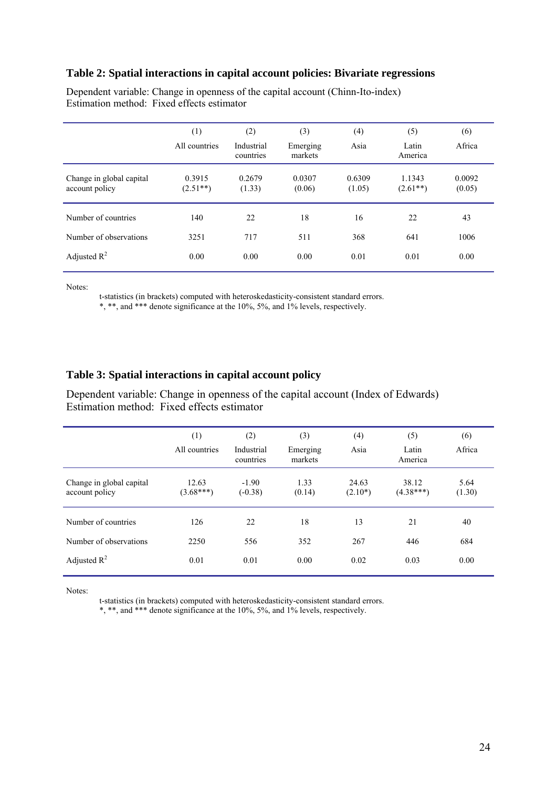### **Table 2: Spatial interactions in capital account policies: Bivariate regressions**

|                                            | (1)<br>All countries | (2)<br>Industrial<br>countries | (3)<br>Emerging<br>markets | (4)<br>Asia      | (5)<br>Latin<br>America | (6)<br>Africa    |
|--------------------------------------------|----------------------|--------------------------------|----------------------------|------------------|-------------------------|------------------|
| Change in global capital<br>account policy | 0.3915<br>$(2.51**)$ | 0.2679<br>(1.33)               | 0.0307<br>(0.06)           | 0.6309<br>(1.05) | 1.1343<br>$(2.61**)$    | 0.0092<br>(0.05) |
| Number of countries                        | 140                  | 22                             | 18                         | 16               | 22                      | 43               |
| Number of observations                     | 3251                 | 717                            | 511                        | 368              | 641                     | 1006             |
| Adjusted $R^2$                             | 0.00                 | 0.00                           | 0.00                       | 0.01             | 0.01                    | 0.00             |

Dependent variable: Change in openness of the capital account (Chinn-Ito-index) Estimation method: Fixed effects estimator

Notes:

t-statistics (in brackets) computed with heteroskedasticity-consistent standard errors.

\*, \*\*, and \*\*\* denote significance at the 10%, 5%, and 1% levels, respectively.

#### **Table 3: Spatial interactions in capital account policy**

Dependent variable: Change in openness of the capital account (Index of Edwards) Estimation method: Fixed effects estimator

|                                            | (1)<br>All countries | (2)<br>Industrial<br>countries | (3)<br>Emerging<br>markets | (4)<br>Asia         | (5)<br>Latin<br>America | (6)<br>Africa  |
|--------------------------------------------|----------------------|--------------------------------|----------------------------|---------------------|-------------------------|----------------|
| Change in global capital<br>account policy | 12.63<br>$(3.68***)$ | $-1.90$<br>$(-0.38)$           | 1.33<br>(0.14)             | 24.63<br>$(2.10^*)$ | 38.12<br>$(4.38***)$    | 5.64<br>(1.30) |
| Number of countries                        | 126                  | 22                             | 18                         | 13                  | 21                      | 40             |
| Number of observations                     | 2250                 | 556                            | 352                        | 267                 | 446                     | 684            |
| Adjusted $R^2$                             | 0.01                 | 0.01                           | 0.00                       | 0.02                | 0.03                    | 0.00           |

Notes:

t-statistics (in brackets) computed with heteroskedasticity-consistent standard errors.

\*, \*\*, and \*\*\* denote significance at the 10%, 5%, and 1% levels, respectively.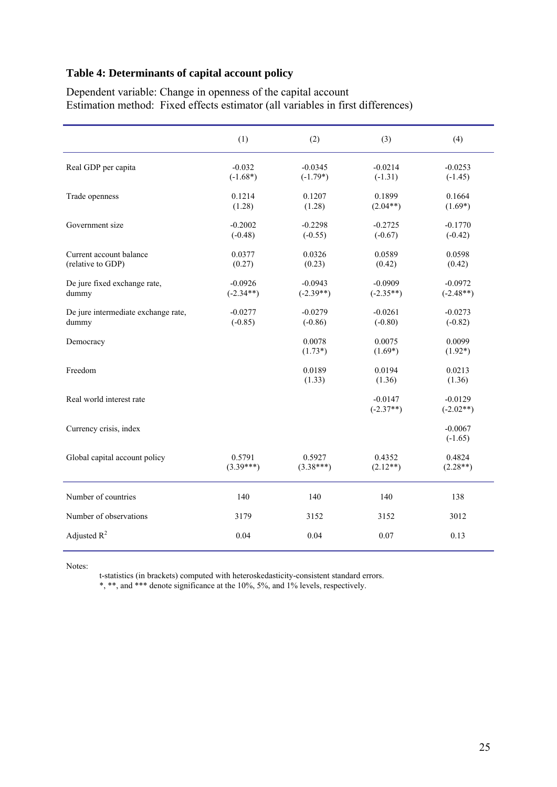## **Table 4: Determinants of capital account policy**

Dependent variable: Change in openness of the capital account Estimation method: Fixed effects estimator (all variables in first differences)

|                                              | (1)                      | (2)                      | (3)                      | (4)                      |
|----------------------------------------------|--------------------------|--------------------------|--------------------------|--------------------------|
| Real GDP per capita                          | $-0.032$<br>$(-1.68*)$   | $-0.0345$<br>$(-1.79*)$  | $-0.0214$<br>$(-1.31)$   | $-0.0253$<br>$(-1.45)$   |
| Trade openness                               | 0.1214<br>(1.28)         | 0.1207<br>(1.28)         | 0.1899<br>$(2.04**)$     | 0.1664<br>$(1.69*)$      |
| Government size                              | $-0.2002$<br>$(-0.48)$   | $-0.2298$<br>$(-0.55)$   | $-0.2725$<br>$(-0.67)$   | $-0.1770$<br>$(-0.42)$   |
| Current account balance<br>(relative to GDP) | 0.0377<br>(0.27)         | 0.0326<br>(0.23)         | 0.0589<br>(0.42)         | 0.0598<br>(0.42)         |
| De jure fixed exchange rate,<br>dummy        | $-0.0926$<br>$(-2.34**)$ | $-0.0943$<br>$(-2.39**)$ | $-0.0909$<br>$(-2.35**)$ | $-0.0972$<br>$(-2.48**)$ |
| De jure intermediate exchange rate,<br>dummy | $-0.0277$<br>$(-0.85)$   | $-0.0279$<br>$(-0.86)$   | $-0.0261$<br>$(-0.80)$   | $-0.0273$<br>$(-0.82)$   |
| Democracy                                    |                          | 0.0078<br>$(1.73*)$      | 0.0075<br>$(1.69*)$      | 0.0099<br>$(1.92*)$      |
| Freedom                                      |                          | 0.0189<br>(1.33)         | 0.0194<br>(1.36)         | 0.0213<br>(1.36)         |
| Real world interest rate                     |                          |                          | $-0.0147$<br>$(-2.37**)$ | $-0.0129$<br>$(-2.02**)$ |
| Currency crisis, index                       |                          |                          |                          | $-0.0067$<br>$(-1.65)$   |
| Global capital account policy                | 0.5791<br>$(3.39***)$    | 0.5927<br>$(3.38***)$    | 0.4352<br>$(2.12**)$     | 0.4824<br>$(2.28**)$     |
| Number of countries                          | 140                      | 140                      | 140                      | 138                      |
| Number of observations                       | 3179                     | 3152                     | 3152                     | 3012                     |
| Adjusted $R^2$                               | 0.04                     | 0.04                     | 0.07                     | 0.13                     |

Notes:

t-statistics (in brackets) computed with heteroskedasticity-consistent standard errors.

\*, \*\*, and \*\*\* denote significance at the 10%, 5%, and 1% levels, respectively.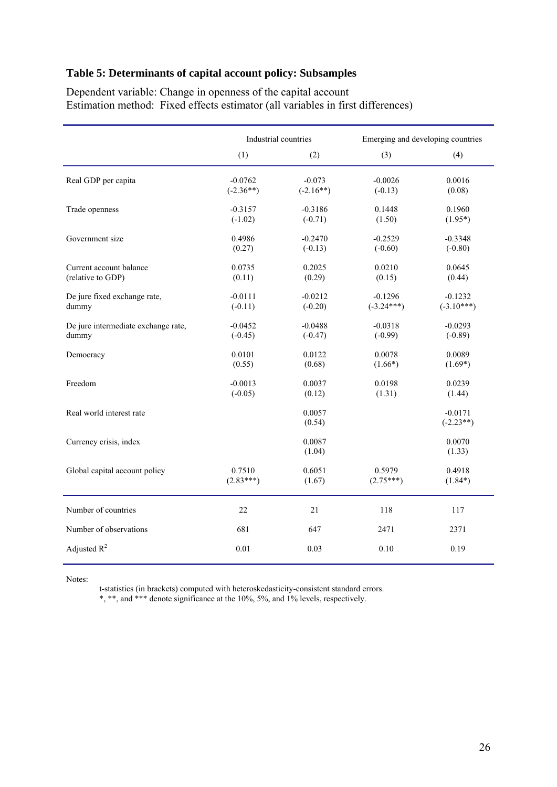## **Table 5: Determinants of capital account policy: Subsamples**

Dependent variable: Change in openness of the capital account Estimation method: Fixed effects estimator (all variables in first differences)

|                                     | Industrial countries |                  | Emerging and developing countries |                          |
|-------------------------------------|----------------------|------------------|-----------------------------------|--------------------------|
|                                     | (1)                  | (2)              | (3)                               | (4)                      |
| Real GDP per capita                 | $-0.0762$            | $-0.073$         | $-0.0026$                         | 0.0016                   |
|                                     | $(-2.36**)$          | $(-2.16**)$      | $(-0.13)$                         | (0.08)                   |
| Trade openness                      | $-0.3157$            | $-0.3186$        | 0.1448                            | 0.1960                   |
|                                     | $(-1.02)$            | $(-0.71)$        | (1.50)                            | $(1.95*)$                |
| Government size                     | 0.4986               | $-0.2470$        | $-0.2529$                         | $-0.3348$                |
|                                     | (0.27)               | $(-0.13)$        | $(-0.60)$                         | $(-0.80)$                |
| Current account balance             | 0.0735               | 0.2025           | 0.0210                            | 0.0645                   |
| (relative to GDP)                   | (0.11)               | (0.29)           | (0.15)                            | (0.44)                   |
| De jure fixed exchange rate,        | $-0.0111$            | $-0.0212$        | $-0.1296$                         | $-0.1232$                |
| dummy                               | $(-0.11)$            | $(-0.20)$        | $(-3.24***)$                      | $(-3.10***)$             |
| De jure intermediate exchange rate, | $-0.0452$            | $-0.0488$        | $-0.0318$                         | $-0.0293$                |
| dummy                               | $(-0.45)$            | $(-0.47)$        | $(-0.99)$                         | $(-0.89)$                |
| Democracy                           | 0.0101               | 0.0122           | 0.0078                            | 0.0089                   |
|                                     | (0.55)               | (0.68)           | $(1.66*)$                         | $(1.69*)$                |
| Freedom                             | $-0.0013$            | 0.0037           | 0.0198                            | 0.0239                   |
|                                     | $(-0.05)$            | (0.12)           | (1.31)                            | (1.44)                   |
| Real world interest rate            |                      | 0.0057<br>(0.54) |                                   | $-0.0171$<br>$(-2.23**)$ |
| Currency crisis, index              |                      | 0.0087<br>(1.04) |                                   | 0.0070<br>(1.33)         |
| Global capital account policy       | 0.7510               | 0.6051           | 0.5979                            | 0.4918                   |
|                                     | $(2.83***)$          | (1.67)           | $(2.75***)$                       | $(1.84*)$                |
| Number of countries                 | 22                   | 21               | 118                               | 117                      |
| Number of observations              | 681                  | 647              | 2471                              | 2371                     |
| Adjusted $R^2$                      | 0.01                 | 0.03             | 0.10                              | 0.19                     |

Notes:

t-statistics (in brackets) computed with heteroskedasticity-consistent standard errors.

\*, \*\*, and \*\*\* denote significance at the 10%, 5%, and 1% levels, respectively.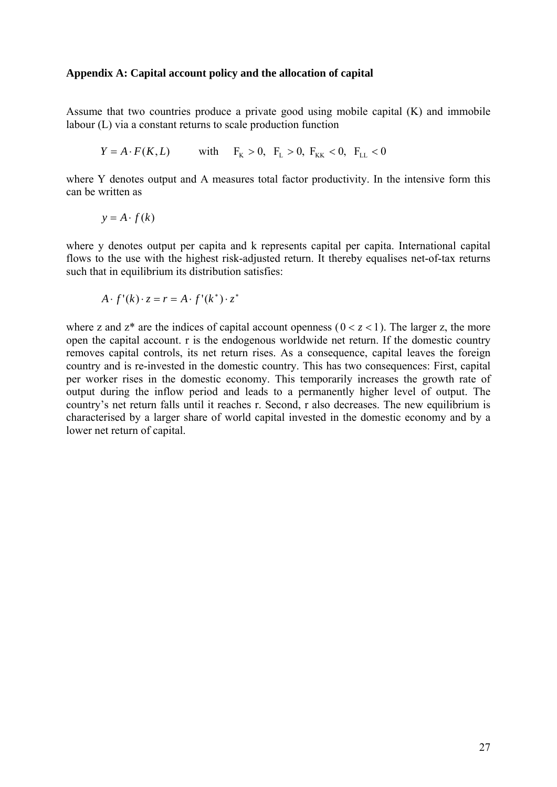## **Appendix A: Capital account policy and the allocation of capital**

Assume that two countries produce a private good using mobile capital (K) and immobile labour (L) via a constant returns to scale production function

$$
Y = A \cdot F(K, L)
$$
 with  $F_K > 0$ ,  $F_L > 0$ ,  $F_{KK} < 0$ ,  $F_{LL} < 0$ 

where Y denotes output and A measures total factor productivity. In the intensive form this can be written as

$$
y = A \cdot f(k)
$$

where y denotes output per capita and k represents capital per capita. International capital flows to the use with the highest risk-adjusted return. It thereby equalises net-of-tax returns such that in equilibrium its distribution satisfies:

$$
A \cdot f'(k) \cdot z = r = A \cdot f'(k^*) \cdot z^*
$$

where z and  $z^*$  are the indices of capital account openness ( $0 < z < 1$ ). The larger z, the more open the capital account. r is the endogenous worldwide net return. If the domestic country removes capital controls, its net return rises. As a consequence, capital leaves the foreign country and is re-invested in the domestic country. This has two consequences: First, capital per worker rises in the domestic economy. This temporarily increases the growth rate of output during the inflow period and leads to a permanently higher level of output. The country's net return falls until it reaches r. Second, r also decreases. The new equilibrium is characterised by a larger share of world capital invested in the domestic economy and by a lower net return of capital.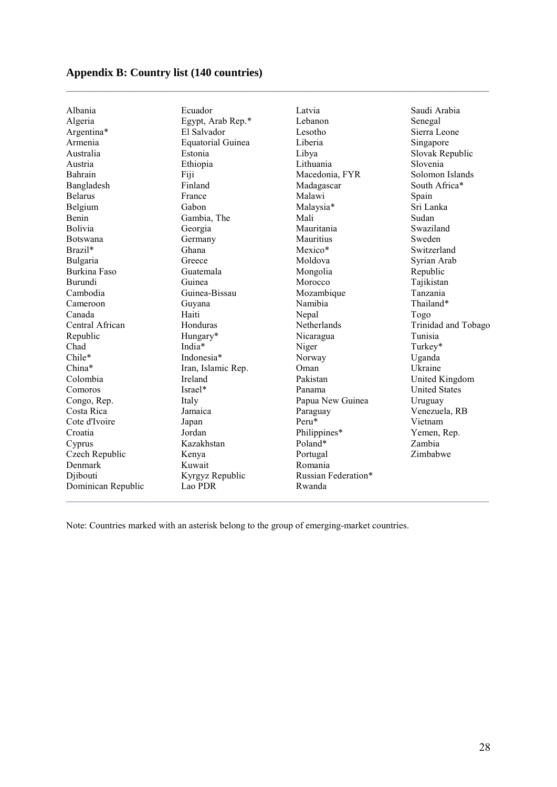# **Appendix B: Country list (140 countries)**

| Albania            | Ecuador                  | Latvia              | Saudi Arabia         |
|--------------------|--------------------------|---------------------|----------------------|
| Algeria            | Egypt, Arab Rep.*        | Lebanon             | Senegal              |
| Argentina*         | El Salvador              | Lesotho             | Sierra Leone         |
| Armenia            | <b>Equatorial Guinea</b> | Liberia             | Singapore            |
| Australia          | Estonia                  | Libya               | Slovak Republic      |
| Austria            | Ethiopia                 | Lithuania           | Slovenia             |
| Bahrain            | Fiji                     | Macedonia, FYR      | Solomon Islands      |
| Bangladesh         | Finland                  | Madagascar          | South Africa*        |
| <b>Belarus</b>     | France                   | Malawi              | Spain                |
| Belgium            | Gabon                    | Malaysia*           | Sri Lanka            |
| Benin              | Gambia, The              | Mali                | Sudan                |
| Bolivia            | Georgia                  | Mauritania          | Swaziland            |
| Botswana           | Germany                  | Mauritius           | Sweden               |
| Brazil*            | Ghana                    | Mexico*             | Switzerland          |
| Bulgaria           | Greece                   | Moldova             | Syrian Arab          |
| Burkina Faso       | Guatemala                | Mongolia            | Republic             |
| Burundi            | Guinea                   | Morocco             | Tajikistan           |
| Cambodia           | Guinea-Bissau            | Mozambique          | Tanzania             |
| Cameroon           | Guyana                   | Namibia             | Thailand*            |
| Canada             | Haiti                    | Nepal               | Togo                 |
| Central African    | Honduras                 | Netherlands         | Trinidad and Tobago  |
| Republic           | Hungary*                 | Nicaragua           | Tunisia              |
| Chad               | India*                   | Niger               | Turkey*              |
| Chile*             | Indonesia*               | Norway              | Uganda               |
| China*             | Iran, Islamic Rep.       | Oman                | Ukraine              |
| Colombia           | Ireland                  | Pakistan            | United Kingdom       |
| Comoros            | Israel*                  | Panama              | <b>United States</b> |
| Congo, Rep.        | Italy                    | Papua New Guinea    | Uruguay              |
| Costa Rica         | Jamaica                  | Paraguay            | Venezuela, RB        |
| Cote d'Ivoire      | Japan                    | Peru*               | Vietnam              |
| Croatia            | Jordan                   | Philippines*        | Yemen, Rep.          |
| Cyprus             | Kazakhstan               | Poland*             | Zambia               |
| Czech Republic     | Kenya                    | Portugal            | Zimbabwe             |
| Denmark            | Kuwait                   | Romania             |                      |
| Djibouti           | Kyrgyz Republic          | Russian Federation* |                      |
| Dominican Republic | Lao PDR                  | Rwanda              |                      |

Note: Countries marked with an asterisk belong to the group of emerging-market countries.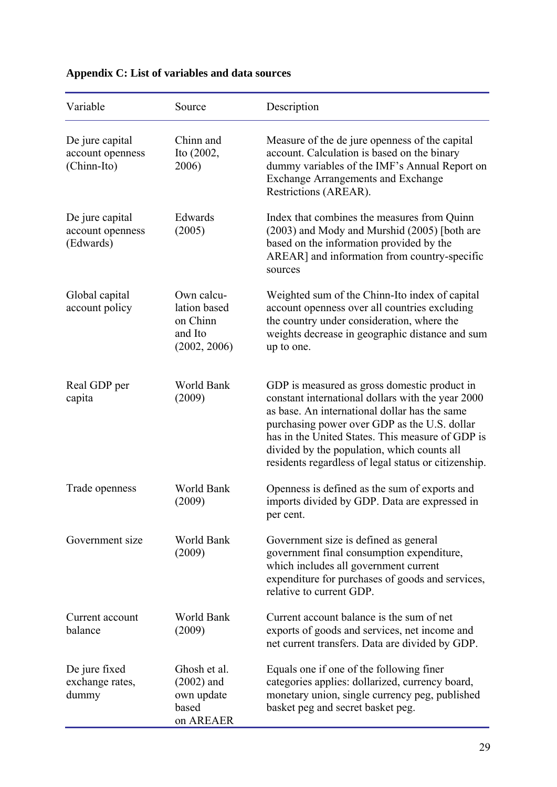| Variable                                           | Source                                                            | Description                                                                                                                                                                                                                                                                                                                                                   |
|----------------------------------------------------|-------------------------------------------------------------------|---------------------------------------------------------------------------------------------------------------------------------------------------------------------------------------------------------------------------------------------------------------------------------------------------------------------------------------------------------------|
| De jure capital<br>account openness<br>(Chinn-Ito) | Chinn and<br>Ito (2002,<br>2006)                                  | Measure of the de jure openness of the capital<br>account. Calculation is based on the binary<br>dummy variables of the IMF's Annual Report on<br><b>Exchange Arrangements and Exchange</b><br>Restrictions (AREAR).                                                                                                                                          |
| De jure capital<br>account openness<br>(Edwards)   | Edwards<br>(2005)                                                 | Index that combines the measures from Quinn<br>(2003) and Mody and Murshid (2005) [both are<br>based on the information provided by the<br>AREAR] and information from country-specific<br>sources                                                                                                                                                            |
| Global capital<br>account policy                   | Own calcu-<br>lation based<br>on Chinn<br>and Ito<br>(2002, 2006) | Weighted sum of the Chinn-Ito index of capital<br>account openness over all countries excluding<br>the country under consideration, where the<br>weights decrease in geographic distance and sum<br>up to one.                                                                                                                                                |
| Real GDP per<br>capita                             | World Bank<br>(2009)                                              | GDP is measured as gross domestic product in<br>constant international dollars with the year 2000<br>as base. An international dollar has the same<br>purchasing power over GDP as the U.S. dollar<br>has in the United States. This measure of GDP is<br>divided by the population, which counts all<br>residents regardless of legal status or citizenship. |
| Trade openness                                     | World Bank<br>(2009)                                              | Openness is defined as the sum of exports and<br>imports divided by GDP. Data are expressed in<br>per cent.                                                                                                                                                                                                                                                   |
| Government size                                    | World Bank<br>(2009)                                              | Government size is defined as general<br>government final consumption expenditure,<br>which includes all government current<br>expenditure for purchases of goods and services,<br>relative to current GDP.                                                                                                                                                   |
| Current account<br>balance                         | World Bank<br>(2009)                                              | Current account balance is the sum of net<br>exports of goods and services, net income and<br>net current transfers. Data are divided by GDP.                                                                                                                                                                                                                 |
| De jure fixed<br>exchange rates,<br>dummy          | Ghosh et al.<br>$(2002)$ and<br>own update<br>based<br>on AREAER  | Equals one if one of the following finer<br>categories applies: dollarized, currency board,<br>monetary union, single currency peg, published<br>basket peg and secret basket peg.                                                                                                                                                                            |

# **Appendix C: List of variables and data sources**